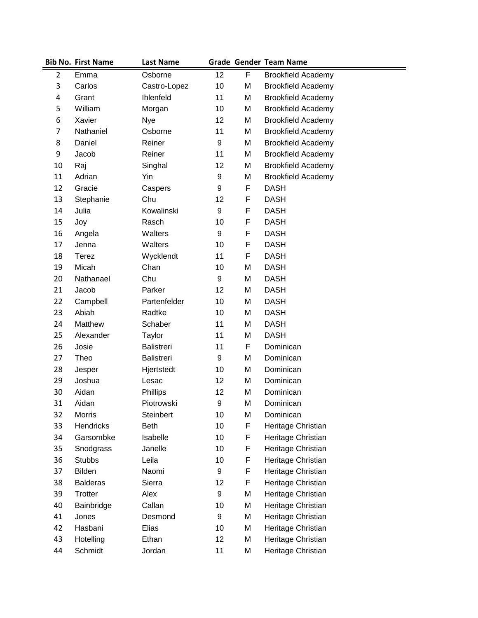|                | <b>Bib No. First Name</b> | <b>Last Name</b>  |    |   | <b>Grade Gender Team Name</b> |
|----------------|---------------------------|-------------------|----|---|-------------------------------|
| $\overline{2}$ | Emma                      | Osborne           | 12 | F | <b>Brookfield Academy</b>     |
| 3              | Carlos                    | Castro-Lopez      | 10 | M | <b>Brookfield Academy</b>     |
| 4              | Grant                     | Ihlenfeld         | 11 | M | <b>Brookfield Academy</b>     |
| 5              | William                   | Morgan            | 10 | M | <b>Brookfield Academy</b>     |
| 6              | Xavier                    | <b>Nye</b>        | 12 | M | <b>Brookfield Academy</b>     |
| 7              | Nathaniel                 | Osborne           | 11 | M | <b>Brookfield Academy</b>     |
| 8              | Daniel                    | Reiner            | 9  | M | <b>Brookfield Academy</b>     |
| 9              | Jacob                     | Reiner            | 11 | M | <b>Brookfield Academy</b>     |
| 10             | Raj                       | Singhal           | 12 | M | <b>Brookfield Academy</b>     |
| 11             | Adrian                    | Yin               | 9  | M | <b>Brookfield Academy</b>     |
| 12             | Gracie                    | Caspers           | 9  | F | <b>DASH</b>                   |
| 13             | Stephanie                 | Chu               | 12 | F | <b>DASH</b>                   |
| 14             | Julia                     | Kowalinski        | 9  | F | <b>DASH</b>                   |
| 15             | Joy                       | Rasch             | 10 | F | <b>DASH</b>                   |
| 16             | Angela                    | Walters           | 9  | F | <b>DASH</b>                   |
| 17             | Jenna                     | Walters           | 10 | F | <b>DASH</b>                   |
| 18             | Terez                     | Wycklendt         | 11 | F | <b>DASH</b>                   |
| 19             | Micah                     | Chan              | 10 | M | <b>DASH</b>                   |
| 20             | Nathanael                 | Chu               | 9  | M | <b>DASH</b>                   |
| 21             | Jacob                     | Parker            | 12 | M | <b>DASH</b>                   |
| 22             | Campbell                  | Partenfelder      | 10 | M | <b>DASH</b>                   |
| 23             | Abiah                     | Radtke            | 10 | M | <b>DASH</b>                   |
| 24             | Matthew                   | Schaber           | 11 | M | <b>DASH</b>                   |
| 25             | Alexander                 | Taylor            | 11 | M | <b>DASH</b>                   |
| 26             | Josie                     | <b>Balistreri</b> | 11 | F | Dominican                     |
| 27             | Theo                      | <b>Balistreri</b> | 9  | M | Dominican                     |
| 28             | Jesper                    | Hjertstedt        | 10 | M | Dominican                     |
| 29             | Joshua                    | Lesac             | 12 | M | Dominican                     |
| 30             | Aidan                     | Phillips          | 12 | M | Dominican                     |
| 31             | Aidan                     | Piotrowski        | 9  | M | Dominican                     |
| 32             | Morris                    | Steinbert         | 10 | M | Dominican                     |
| 33             | Hendricks                 | <b>Beth</b>       | 10 | F | Heritage Christian            |
| 34             | Garsombke                 | Isabelle          | 10 | F | Heritage Christian            |
| 35             | Snodgrass                 | Janelle           | 10 | F | Heritage Christian            |
| 36             | <b>Stubbs</b>             | Leila             | 10 | F | Heritage Christian            |
| 37             | Bilden                    | Naomi             | 9  | F | Heritage Christian            |
| 38             | <b>Balderas</b>           | Sierra            | 12 | F | Heritage Christian            |
| 39             | Trotter                   | Alex              | 9  | M | Heritage Christian            |
| 40             | Bainbridge                | Callan            | 10 | M | Heritage Christian            |
| 41             | Jones                     | Desmond           | 9  | M | Heritage Christian            |
| 42             | Hasbani                   | Elias             | 10 | M | Heritage Christian            |
| 43             | Hotelling                 | Ethan             | 12 | M | Heritage Christian            |
| 44             | Schmidt                   | Jordan            | 11 | M | Heritage Christian            |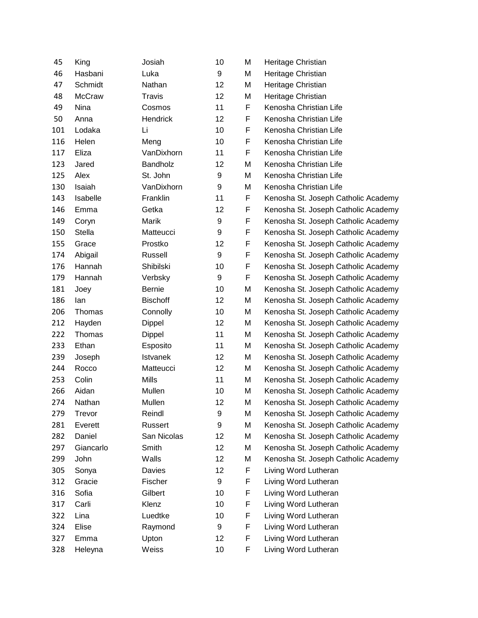| 45  | King          | Josiah          | 10               | M | Heritage Christian                  |
|-----|---------------|-----------------|------------------|---|-------------------------------------|
| 46  | Hasbani       | Luka            | 9                | M | Heritage Christian                  |
| 47  | Schmidt       | Nathan          | 12               | M | Heritage Christian                  |
| 48  | <b>McCraw</b> | <b>Travis</b>   | 12               | M | Heritage Christian                  |
| 49  | Nina          | Cosmos          | 11               | F | Kenosha Christian Life              |
| 50  | Anna          | <b>Hendrick</b> | 12               | F | Kenosha Christian Life              |
| 101 | Lodaka        | Li              | 10               | F | Kenosha Christian Life              |
| 116 | Helen         | Meng            | 10               | F | Kenosha Christian Life              |
| 117 | Eliza         | VanDixhorn      | 11               | F | Kenosha Christian Life              |
| 123 | Jared         | Bandholz        | 12               | M | Kenosha Christian Life              |
| 125 | Alex          | St. John        | 9                | M | Kenosha Christian Life              |
| 130 | Isaiah        | VanDixhorn      | 9                | M | Kenosha Christian Life              |
| 143 | Isabelle      | Franklin        | 11               | F | Kenosha St. Joseph Catholic Academy |
| 146 | Emma          | Getka           | 12               | F | Kenosha St. Joseph Catholic Academy |
| 149 | Coryn         | Marik           | $\boldsymbol{9}$ | F | Kenosha St. Joseph Catholic Academy |
| 150 | Stella        | Matteucci       | 9                | F | Kenosha St. Joseph Catholic Academy |
| 155 | Grace         | Prostko         | 12               | F | Kenosha St. Joseph Catholic Academy |
| 174 | Abigail       | Russell         | 9                | F | Kenosha St. Joseph Catholic Academy |
| 176 | Hannah        | Shibilski       | 10               | F | Kenosha St. Joseph Catholic Academy |
| 179 | Hannah        | Verbsky         | 9                | F | Kenosha St. Joseph Catholic Academy |
| 181 | Joey          | <b>Bernie</b>   | 10               | M | Kenosha St. Joseph Catholic Academy |
| 186 | lan           | <b>Bischoff</b> | 12               | M | Kenosha St. Joseph Catholic Academy |
| 206 | Thomas        | Connolly        | 10               | M | Kenosha St. Joseph Catholic Academy |
| 212 | Hayden        | Dippel          | 12               | M | Kenosha St. Joseph Catholic Academy |
| 222 | Thomas        | Dippel          | 11               | M | Kenosha St. Joseph Catholic Academy |
| 233 | Ethan         | Esposito        | 11               | M | Kenosha St. Joseph Catholic Academy |
| 239 | Joseph        | <b>Istvanek</b> | 12               | M | Kenosha St. Joseph Catholic Academy |
| 244 | Rocco         | Matteucci       | 12               | M | Kenosha St. Joseph Catholic Academy |
| 253 | Colin         | <b>Mills</b>    | 11               | M | Kenosha St. Joseph Catholic Academy |
| 266 | Aidan         | Mullen          | 10               | M | Kenosha St. Joseph Catholic Academy |
| 274 | Nathan        | Mullen          | 12               | M | Kenosha St. Joseph Catholic Academy |
| 279 | Trevor        | Reindl          | 9                | M | Kenosha St. Joseph Catholic Academy |
| 281 | Everett       | Russert         | 9                | M | Kenosha St. Joseph Catholic Academy |
| 282 | Daniel        | San Nicolas     | 12               | M | Kenosha St. Joseph Catholic Academy |
| 297 | Giancarlo     | Smith           | 12               | M | Kenosha St. Joseph Catholic Academy |
| 299 | John          | Walls           | 12               | M | Kenosha St. Joseph Catholic Academy |
| 305 | Sonya         | Davies          | 12               | F | Living Word Lutheran                |
| 312 | Gracie        | Fischer         | 9                | F | Living Word Lutheran                |
| 316 | Sofia         | Gilbert         | 10               | F | Living Word Lutheran                |
| 317 | Carli         | Klenz           | 10               | F | Living Word Lutheran                |
| 322 | Lina          | Luedtke         | 10               | F | Living Word Lutheran                |
| 324 | Elise         | Raymond         | 9                | F | Living Word Lutheran                |
| 327 | Emma          | Upton           | 12               | F | Living Word Lutheran                |
| 328 | Heleyna       | Weiss           | 10               | F | Living Word Lutheran                |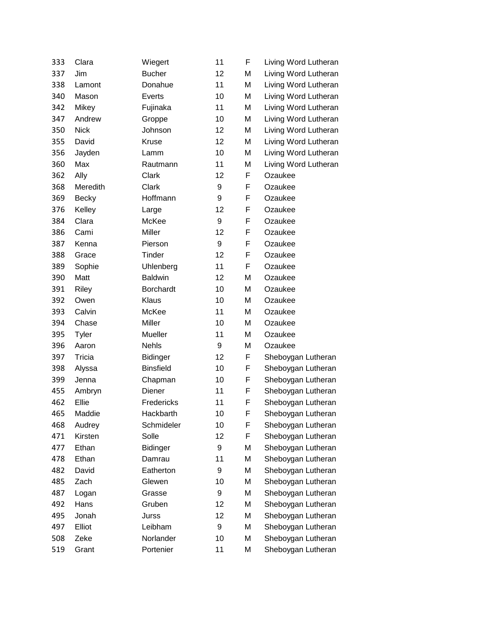| 333 | Clara        | Wiegert          | 11               | F | Living Word Lutheran |
|-----|--------------|------------------|------------------|---|----------------------|
| 337 | Jim          | <b>Bucher</b>    | 12               | M | Living Word Lutheran |
| 338 | Lamont       | Donahue          | 11               | M | Living Word Lutheran |
| 340 | Mason        | Everts           | 10               | M | Living Word Lutheran |
| 342 | Mikey        | Fujinaka         | 11               | M | Living Word Lutheran |
| 347 | Andrew       | Groppe           | 10               | M | Living Word Lutheran |
| 350 | <b>Nick</b>  | Johnson          | 12               | M | Living Word Lutheran |
| 355 | David        | Kruse            | 12               | M | Living Word Lutheran |
| 356 | Jayden       | Lamm             | 10               | M | Living Word Lutheran |
| 360 | Max          | Rautmann         | 11               | M | Living Word Lutheran |
| 362 | Ally         | Clark            | 12               | F | Ozaukee              |
| 368 | Meredith     | Clark            | 9                | F | Ozaukee              |
| 369 | <b>Becky</b> | Hoffmann         | 9                | F | Ozaukee              |
| 376 | Kelley       | Large            | 12               | F | Ozaukee              |
| 384 | Clara        | McKee            | 9                | F | Ozaukee              |
| 386 | Cami         | Miller           | 12               | F | Ozaukee              |
| 387 | Kenna        | Pierson          | $\boldsymbol{9}$ | F | Ozaukee              |
| 388 | Grace        | Tinder           | 12               | F | Ozaukee              |
| 389 | Sophie       | Uhlenberg        | 11               | F | Ozaukee              |
| 390 | Matt         | <b>Baldwin</b>   | 12               | M | Ozaukee              |
| 391 | Riley        | <b>Borchardt</b> | 10               | M | Ozaukee              |
| 392 | Owen         | Klaus            | 10               | M | Ozaukee              |
| 393 | Calvin       | McKee            | 11               | M | Ozaukee              |
| 394 | Chase        | Miller           | 10               | M | Ozaukee              |
| 395 | <b>Tyler</b> | Mueller          | 11               | M | Ozaukee              |
| 396 | Aaron        | <b>Nehls</b>     | 9                | M | Ozaukee              |
| 397 | Tricia       | <b>Bidinger</b>  | 12               | F | Sheboygan Lutheran   |
| 398 | Alyssa       | <b>Binsfield</b> | 10               | F | Sheboygan Lutheran   |
| 399 | Jenna        | Chapman          | 10               | F | Sheboygan Lutheran   |
| 455 | Ambryn       | Diener           | 11               | F | Sheboygan Lutheran   |
| 462 | Ellie        | Fredericks       | 11               | F | Sheboygan Lutheran   |
| 465 | Maddie       | Hackbarth        | 10               | F | Sheboygan Lutheran   |
| 468 | Audrey       | Schmideler       | 10               | F | Sheboygan Lutheran   |
| 471 | Kirsten      | Solle            | 12               | F | Sheboygan Lutheran   |
| 477 | Ethan        | Bidinger         | 9                | M | Sheboygan Lutheran   |
| 478 | Ethan        | Damrau           | 11               | M | Sheboygan Lutheran   |
| 482 | David        | Eatherton        | 9                | M | Sheboygan Lutheran   |
| 485 | Zach         | Glewen           | 10               | M | Sheboygan Lutheran   |
| 487 | Logan        | Grasse           | 9                | M | Sheboygan Lutheran   |
| 492 | Hans         | Gruben           | 12               | M | Sheboygan Lutheran   |
| 495 | Jonah        | Jurss            | 12               | M | Sheboygan Lutheran   |
| 497 | Elliot       | Leibham          | 9                | M | Sheboygan Lutheran   |
| 508 | Zeke         | Norlander        | 10               | M | Sheboygan Lutheran   |
| 519 | Grant        | Portenier        | 11               | M | Sheboygan Lutheran   |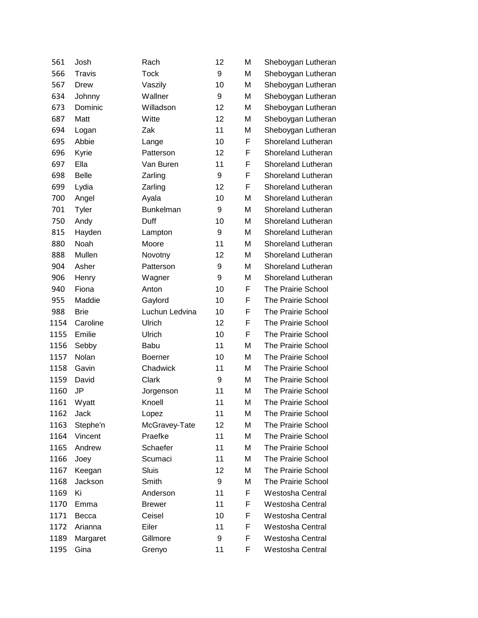| 561  | Josh          | Rach             | 12 | M | Sheboygan Lutheran        |
|------|---------------|------------------|----|---|---------------------------|
| 566  | <b>Travis</b> | <b>Tock</b>      | 9  | M | Sheboygan Lutheran        |
| 567  | Drew          | Vaszily          | 10 | M | Sheboygan Lutheran        |
| 634  | Johnny        | Wallner          | 9  | M | Sheboygan Lutheran        |
| 673  | Dominic       | Willadson        | 12 | M | Sheboygan Lutheran        |
| 687  | Matt          | Witte            | 12 | M | Sheboygan Lutheran        |
| 694  | Logan         | Zak              | 11 | M | Sheboygan Lutheran        |
| 695  | Abbie         | Lange            | 10 | F | Shoreland Lutheran        |
| 696  | Kyrie         | Patterson        | 12 | F | Shoreland Lutheran        |
| 697  | Ella          | Van Buren        | 11 | F | Shoreland Lutheran        |
| 698  | <b>Belle</b>  | Zarling          | 9  | F | Shoreland Lutheran        |
| 699  | Lydia         | Zarling          | 12 | F | Shoreland Lutheran        |
| 700  | Angel         | Ayala            | 10 | M | Shoreland Lutheran        |
| 701  | <b>Tyler</b>  | <b>Bunkelman</b> | 9  | M | Shoreland Lutheran        |
| 750  | Andy          | Duff             | 10 | M | Shoreland Lutheran        |
| 815  | Hayden        | Lampton          | 9  | M | Shoreland Lutheran        |
| 880  | Noah          | Moore            | 11 | M | Shoreland Lutheran        |
| 888  | Mullen        | Novotny          | 12 | M | Shoreland Lutheran        |
| 904  | Asher         | Patterson        | 9  | M | Shoreland Lutheran        |
| 906  | Henry         | Wagner           | 9  | M | Shoreland Lutheran        |
| 940  | Fiona         | Anton            | 10 | F | The Prairie School        |
| 955  | Maddie        | Gaylord          | 10 | F | The Prairie School        |
| 988  | <b>Brie</b>   | Luchun Ledvina   | 10 | F | The Prairie School        |
| 1154 | Caroline      | Ulrich           | 12 | F | The Prairie School        |
| 1155 | Emilie        | Ulrich           | 10 | F | The Prairie School        |
| 1156 | Sebby         | Babu             | 11 | M | The Prairie School        |
| 1157 | Nolan         | <b>Boerner</b>   | 10 | M | The Prairie School        |
| 1158 | Gavin         | Chadwick         | 11 | M | The Prairie School        |
| 1159 | David         | Clark            | 9  | M | The Prairie School        |
| 1160 | JP            | Jorgenson        | 11 | M | The Prairie School        |
| 1161 | Wyatt         | Knoell           | 11 | M | The Prairie School        |
| 1162 | Jack          | Lopez            | 11 | М | <b>The Prairie School</b> |
| 1163 | Stephe'n      | McGravey-Tate    | 12 | M | The Prairie School        |
| 1164 | Vincent       | Praefke          | 11 | M | The Prairie School        |
| 1165 | Andrew        | Schaefer         | 11 | M | The Prairie School        |
| 1166 | Joey          | Scumaci          | 11 | M | The Prairie School        |
| 1167 | Keegan        | <b>Sluis</b>     | 12 | M | The Prairie School        |
| 1168 | Jackson       | Smith            | 9  | M | The Prairie School        |
| 1169 | Ki            | Anderson         | 11 | F | Westosha Central          |
| 1170 | Emma          | <b>Brewer</b>    | 11 | F | Westosha Central          |
| 1171 | Becca         | Ceisel           | 10 | F | Westosha Central          |
| 1172 | Arianna       | Eiler            | 11 | F | Westosha Central          |
| 1189 | Margaret      | Gillmore         | 9  | F | Westosha Central          |
| 1195 | Gina          | Grenyo           | 11 | F | <b>Westosha Central</b>   |